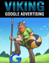

### GOOGLE ADVERTISING

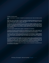Copyright © All rights reserved.

ABOUT YOUR RIGHTS: This eBook is intended for your personal use only. It does not include any other rights.

IMPORTANT LEGAL DISCLAIMER: This book is protected by international copyright law and may not be copied, reproduced, given away, or used to create derivative works without the publisher's expressed permission. The publisher retains full copyrights to this book.

The author has made every reasonable effort to be as accurate and complete as possible in the creation of this book and to ensure that the information provided is free from errors; however, the author/publisher/ reseller assumes no responsibility for errors, omissions, or contrary interpretation of the subject matter herein and does not warrant or represent at any time that the contents within are accurate due to the rapidly changing nature of the Internet.

Any perceived slights of specific persons, peoples, or organizations are unintentional.

The purpose of this book is to educate and there are no guarantees of income, sales or results implied. The publisher/author/reseller/distributor can therefore not be held accountable for any poor results you may attain when implementing the techniques or when following any guidelines set out for you in this book.

Any product, website, and company names mentioned in this report are the trademarks or copyright properties of their respective owners. The author/publisher/reseller/distributor are not associated or affiliated with them in any way. Nor does the referred product, website, and company names sponsor, endorse, or approve this product.

AFFILIATE/COMPENSATION DISCLAIMER: Unless otherwise expressly stated, you should assume that the links contained in this book may be affiliate links and either the author/publisher/reseller/distributor will earn commission if you click on them and buy the product/service mentioned in this book. However, the author/publisher/reseller/distributor disclaim any liability that may result from your involvement with any such websites/products. You should thoroughly research before buying mentioned products or services.

This constitutes the entire license agreement. Any disputes or terms not discussed in this agreement are at the sole discretion of the publisher.

### Viking Google Advertising Page 2 | 22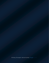Viking Google Advertising Page 3 | 22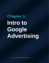# **Chapter 1: Intro to Google Advertising**

Viking Google Advertising Page 4 | 22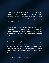Google is without question the world's premiere search engine. But it's become even more than a search engine since it's humble beginnings. Today, it also happens to have what is arguably the most powerful and far-reaching advertising network in the world.

Today, with Google AdWords, you can put your offers in front of motivated buyers as sponsored search results. This means people are seeing your ad at the very moment they are searching for your solution. What could be more powerful than that?

Then there's the Display Network. Ever notice all those image ads in the side bars, top, and bottom of almost every website you visit? And more banners mixed in within content? Often retargeting ads for a product you recently viewed? There's a good chance most of those were part of the Google Display Network.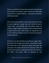When you combine the perfect timing of search result ads and the far-reach of the display network with the very reasonable cost per click of Google AdWords… it becomes a must-have advertising solution.

Here's some stats that paint a clear picture of why you should be using Google Ads. Google owns over 70% of the search market share. They officially have the world's largest ad network. Google's display campaigns reach a whopping 80% of global internet users. When people see display ads, they are over 150% more likely to search for brand and segmentspecific keywords.

And even if you were planning to just focus on organic SEO, you need to have Google ads in the mix. Almost 90% of traffic from search ads is NOT replaced by organic clicks when ads get paused. For people searching with real buyer intent, the ad spots at the top end up getting around 40% of the clicks on the SERPs. And almost 100% of searchers go with

Viking Google Advertising Page 6 22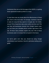businesses they see on the first page of the SERPs, so getting those sponsored results up there is a must.

In case there was any doubt about the effectiveness of these ads, here's a few more stats. On average, marketers make \$2 in sales for every \$1 they spend on Google ads. On mobile, around 70% of searchers take action within one hour and 70% say they call businesses directly from Google Search (yes, you can have your clickable phone number right there in the ad). All these stats probably explain why over 70% of these businesses plan to increase their ad spend in the future.

So we've gone over why you should be using Google advertising in your business. Now let's talk about setting some goals.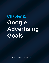## **Chapter 2: Google Advertising Goals**

Viking Google Advertising Page 8 | 22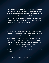Establishing advertising goals is critical to the success of your ad campaigns. Countless entrepreneurs and businesses have setup an advertising account, run a few ads, and then let it sit untouched for months or even years. This is usually due to a lack or absence of goals. So, before you even begin establishing any sort of advertising campaign or strategy, you need to establish clear advertising goals.

Your goals should be specific, measurable, and attainable. They can be long term, short term, or a mix of both. Deadlines and milestones can be helpful as well. "I want to increase my traffic and sales" would be an example of a bad goal that will likely result in your efforts petering out after a while because there are no specific milestones. "I want to generate 1,000 leads by Christmas" is an example of a good goal. It's specific, measurable, and certainly attainable. Below are some examples of the various goal categories you might be interested in.

Viking Google Advertising Page 9 22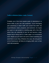### **Traffic to Website (Sales, Leads, Content)**

Probably one of the most popular goals of advertising is to funnel traffic to your own web properties. You're leveraging paid advertising to obtain traffic and convert that traffic into brand-followers, leads, prospects, and customers. So maybe your goal is to get people to a landing page with a free offer where they can subscribe to your list and become a lead. Maybe they're being sent to a sales page or an ecommerce store. Maybe you just want to do some content marketing and send them to your blog. Whatever the case, the end goal for a lot of businesses will likely be bringing traffic over to their main web properties.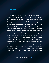### **Social Following**

In this goal category, your aim is to build a large number of followers. This usually means "likes or followers" in the case of a business/brand page or it could mean "friends" if you're focusing on your personal profile. The main sought-after benefit here is to increase the number of people who will see your posts or tweets in their feeds. In this sense, your social posts become similar to sending out email broadcasts via your autoresponder. It should be noted that some social networks have recently adjusted their algorithms in such a way that people tend to see less posts from businesses they've followed. This means a much smaller percentage of your followers will see your posts in their feeds today than did in the past. Still, if you grow a large enough community, this can still be very beneficial and if your content is engaging enough to get a lot of traction in the form of likes, comments, and shares, you can significantly increase the range of your organic reach into people's feeds. Paid advertising, either

Viking Google Advertising Page 11 | 22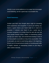directly to your social platforms or to a page that encourages social following, can be a great way to accomplish this.

### **Brand Awareness**

Another goal that's less thought about might be spreading brand awareness and recognition. If you're just starting out, there's a good chance your brand might be in need of a jumpstart. If nobody's ever heard of you, a great way to increase recognition is to simply flood the web with ads that direct people towards unique, helpful, or entertaining content and get your name, logo, and overall brand identity in front of as many people as possible as many times as possible. If this is your goal, you want to avoid being salesy in the beginning. Ensure you're focused almost entirely on funneling paid traffic to helpful, relevant, or entertaining content on your blog or other content channels.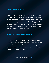### **Expand Existing Audiences**

If you've already got an audience, your goal might be to make it bigger. Paid advertising can be used to direct traffic to viral content like a funny video that people will share. Other ways to expand existing audiences can include driving paid ads to contests, sweepstakes, and gamification systems. Assuming your offers/prizes are compelling enough, incentivized sharing and engagement can be very effective.

### **Enhancing or Repairing Public Relations**

Do you want to set your company apart in the public eye? Do you want to associate your brand with feelings of good will and community involvement? If any of these apply to you, then enhancing or repairing public relations could certainly be a good advertising goal for your business.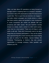Often, we hear about PR operations as being focused on damage control or repairing harm to a company's reputation, but it doesn't take a PR catastrophe to make PR enhancement a good idea. This is a goal that any business can engage in. Non-sales related campaigns can include photos or videos that foster positive values and goodwill or even involvement in social movements (be careful not alienate half your prospects) and noble causes. Did your business recently donate to a charity, build a school in a third world country, serve food at a local pantry? These are all things to send traffic to with ads. These don't necessarily need to be about things that your business participated in. They can be content about general things like a heart-warming video about helping the poor or caring for the elderly. Special holidays like Christmas, Thanksgiving, or Mother's Day also present opportunities to leverage emotions, foster goodwill, and enhance your PR.

### Viking Google Advertising Page 14 | 22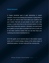### **Market Research**

A hugely beneficial goal of paid advertising is market research. If you're just starting your business or going down a new path, you need to learn more about your audience and your market. Paid ads can get people to vote in polls, take surveys, or even drive them to the comment section of a blog where they'll share their opinions. Ultimately, your goal should be to gather as much data as possible and come up with one or two ideal customer avatars that you can then base your marketing and product development on.

All of the goals you've learned about in this section require some sort of overall strategy relying on the various types of advertising options. So that's what we'll be covering next.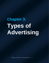# **Chapter 3: Types of Advertising**

Viking Google Advertising Page 16 | 22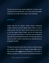Now that you've got your goals established, it's time to start cranking out some quality ads. Let's look at some of the types of ads you can create and leverage in your marketing.

### **Search Ads**

Search ads are the ultimate "perfect timing" advertising method. These are ads that appear above, below, or next to search results. They are "native" which means they look more or less like organic search results, save for the single word "Ad" in a tiny box next to the url. These ads show up based on keywords that you targeted during the ad creation process, as well as any other criteria or parameters you specified such as geographic location.

The great thing about search ads is that you're literally putting your solution right in front of people exactly **where** they're looking and exactly **when** they're looking for it. The value of offering a product or service at the very moment someone is

Viking Google Advertising Page 17 | 22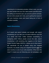searching for it is absolutely priceless. What's more, you only pay when people click your ad or take another specified action like calling your business (yes, you can set up phone call ads). So even when people don't click, you're getting free exposure with your business name and brand being put in front of countless eyeballs.

### **Search Remarketing**

As if search ads weren't already cool enough, with search remarketing you can take your ad spend efficiency and ROI to a whole new level. Unlike standard remarketing or retargeting which follows people around the web, search remarketing is still something that happens on the Search Engine Results Pages (SERPs). It allows you to show search ads specifically not just to people using your targeted keywords, but people using your targeted keyword **and** who were recently on one of your web properties. What does this mean? It means you are finetuning your ad campaigns, and

Viking Google Advertising Page 18 | 22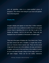your ad spending, down to a super-qualified group of prospects. This means more bang for your buck and greater ROI in the long term!

### **Display Ads**

Google's display ads appear on more than 2 million websites around the web. If your audience is online, there's a very good chance they're spending time on a site that is part of the display ad network. And it's not just sites. These ads are displayed now on hundreds of thousands of mobile apps!

There are a few types of display ads. First, there's text. These are basic textual ads with a headline, a couple lines of text, and a url. Second, there's banner ads. These are the actual image ads that you see in the sidebars, the tops and bottoms of pages, and snuck in here and there in the middle of content as you scroll down through a blog or forum page. And it's not just plain images. These can be rich media, interactive

Viking Google Advertising Page 19 | 22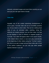elements, animated images and more! More recently you can even put your ads right inside of Gmail!

### **Video Ads**

Arguably one of the coolest advertising developments in recent years, YouTube video ads are an incredibly powerful tool. All you need is a short video. This can be a talking head video of you, an animated video, anything. Using the AdWords ad creation process, you can then make YouTube ad that displays in front of relevant or targeted people on YouTube. Your video will appear either in the search results, in the related videos column, or can even play automatically at the beginning of other videos using the "TruView" system. Not only do you get to target and put these video ads in front of the perfect audience, but you only pay when people express interest in your ad!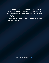So, all of these advertising methods are clearly great and present an incredible opportunity to help you grow your brand and your business. But none of this information is worth anything if you don't implement what you've learned. With that in mind, make sure you implement the steps of the following battle plan right away!